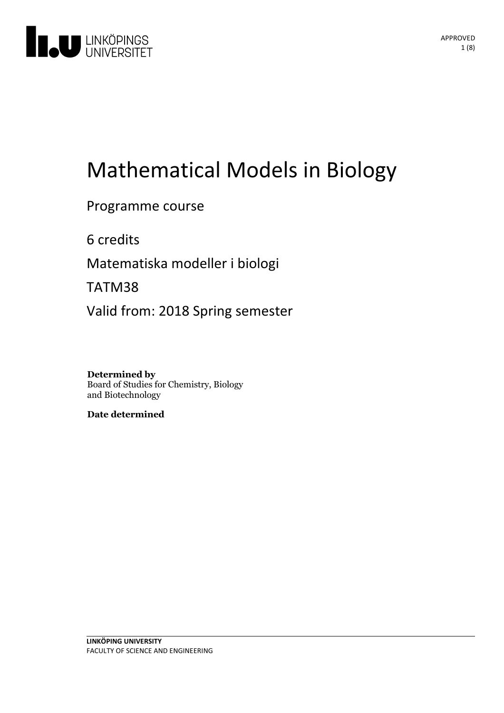

# Mathematical Models in Biology

# Programme course

6 credits

Matematiska modeller i biologi

TATM38

Valid from: 2018 Spring semester

**Determined by** Board of Studies for Chemistry, Biology and Biotechnology

**Date determined**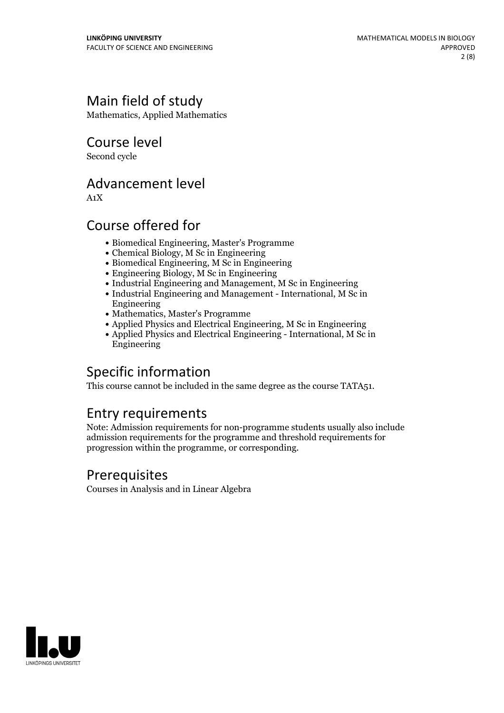# Main field of study

Mathematics, Applied Mathematics

Course level

Second cycle

# Advancement level

A1X

### Course offered for

- Biomedical Engineering, Master's Programme
- Chemical Biology, M Sc in Engineering
- Biomedical Engineering, M Sc in Engineering
- Engineering Biology, M Sc in Engineering
- Industrial Engineering and Management, M Sc in Engineering
- Industrial Engineering and Management International, M Sc in Engineering
- Mathematics, Master's Programme
- Applied Physics and Electrical Engineering, M Sc in Engineering
- Applied Physics and Electrical Engineering International, M Sc in Engineering

# Specific information

This course cannot be included in the same degree as the course TATA51.

# Entry requirements

Note: Admission requirements for non-programme students usually also include admission requirements for the programme and threshold requirements for progression within the programme, or corresponding.

### Prerequisites

Courses in Analysis and in Linear Algebra

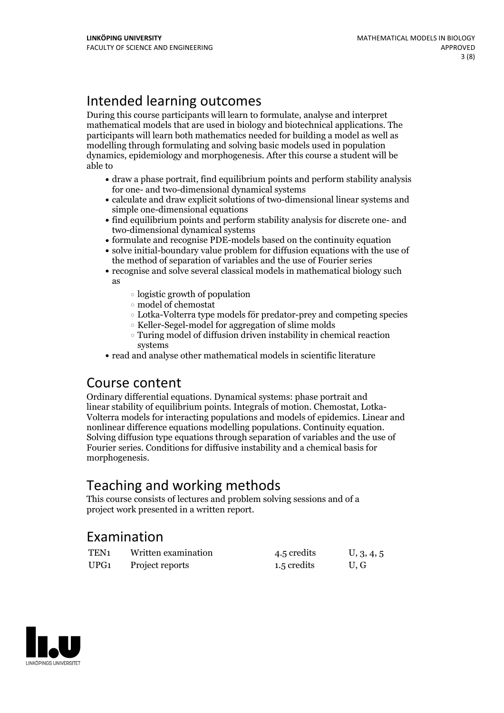# Intended learning outcomes

During this course participants will learn to formulate, analyse and interpret mathematical models that are used in biology and biotechnical applications. The participants will learn both mathematics needed for building a model as well as modelling through formulating and solving basic models used in population dynamics, epidemiology and morphogenesis. After this course a student will be able to

- draw a phase portrait, find equilibrium points and perform stability analysis for one- and two-dimensional dynamical systems
- calculate and draw explicit solutions of two-dimensional linear systems and simple one-dimensional equations
- find equilibrium points and perform stability analysis for discrete one- and two-dimensional dynamical systems
- formulate and recognise PDE-models based on the continuity equation
- solve initial-boundary value problem for diffusion equations with the use of the method of separation of variables and the use of Fourier series
- recognise and solve several classical models in mathematical biology such as
	- logistic growth of population
	- model of chemostat
	- Lotka-Volterra type models för predator-prey and competing species
	- Keller-Segel-model for aggregation of slime molds
	- Turing model of diffusion driven instability in chemical reaction systems
- read and analyse other mathematical models in scientific literature

### Course content

Ordinary differential equations. Dynamical systems: phase portrait and Volterra models for interacting populations and models of epidemics. Linear and nonlinear difference equations modelling populations. Continuity equation. Solving diffusion type equations through separation of variables and the use of Fourier series. Conditions for diffusive instability and a chemical basis for morphogenesis.

# Teaching and working methods

This course consists of lectures and problem solving sessions and of a project work presented in a written report.

### Examination

| TEN <sub>1</sub> | Written examination | 4.5 credits | U, 3, 4, 5 |
|------------------|---------------------|-------------|------------|
| UPG <sub>1</sub> | Project reports     | 1.5 credits | U, G       |

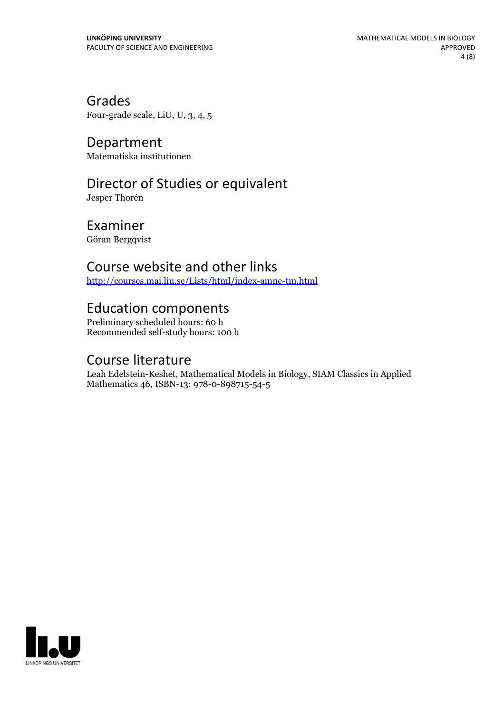Grades Four-grade scale, LiU, U, 3, 4, 5

Department Matematiska institutionen

# Director of Studies or equivalent

Jesper Thorén

Examiner Göran Bergqvist

### Course website and other links

<http://courses.mai.liu.se/Lists/html/index-amne-tm.html>

### Education components

Preliminary scheduled hours: 60 h Recommended self-study hours: 100 h

### Course literature

Leah Edelstein-Keshet, Mathematical Models in Biology, SIAM Classics in Applied Mathematics 46, ISBN-13: 978-0-898715-54-5

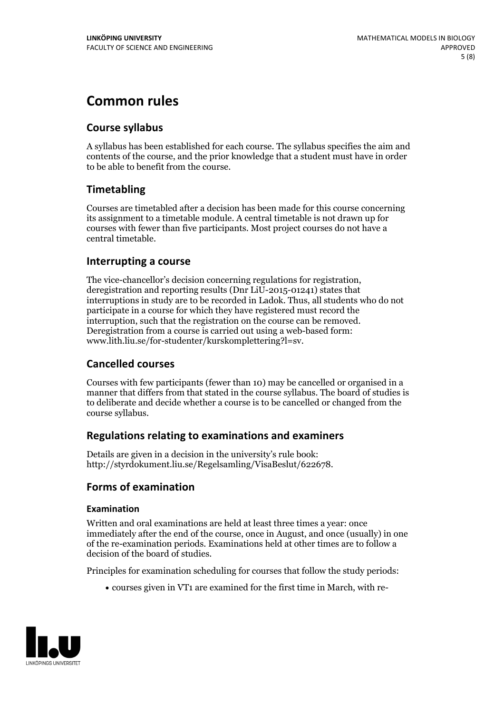# **Common rules**

### **Course syllabus**

A syllabus has been established for each course. The syllabus specifies the aim and contents of the course, and the prior knowledge that a student must have in order to be able to benefit from the course.

### **Timetabling**

Courses are timetabled after a decision has been made for this course concerning its assignment to a timetable module. A central timetable is not drawn up for courses with fewer than five participants. Most project courses do not have a central timetable.

### **Interrupting a course**

The vice-chancellor's decision concerning regulations for registration, deregistration and reporting results (Dnr LiU-2015-01241) states that interruptions in study are to be recorded in Ladok. Thus, all students who do not participate in a course for which they have registered must record the interruption, such that the registration on the course can be removed. Deregistration from <sup>a</sup> course is carried outusing <sup>a</sup> web-based form: www.lith.liu.se/for-studenter/kurskomplettering?l=sv.

### **Cancelled courses**

Courses with few participants (fewer than 10) may be cancelled or organised in a manner that differs from that stated in the course syllabus. The board of studies is to deliberate and decide whether a course is to be cancelled orchanged from the course syllabus.

### **Regulations relatingto examinations and examiners**

Details are given in a decision in the university's rule book: http://styrdokument.liu.se/Regelsamling/VisaBeslut/622678.

### **Forms of examination**

### **Examination**

Written and oral examinations are held at least three times a year: once immediately after the end of the course, once in August, and once (usually) in one of the re-examination periods. Examinations held at other times are to follow a decision of the board of studies.

Principles for examination scheduling for courses that follow the study periods:

courses given in VT1 are examined for the first time in March, with re-

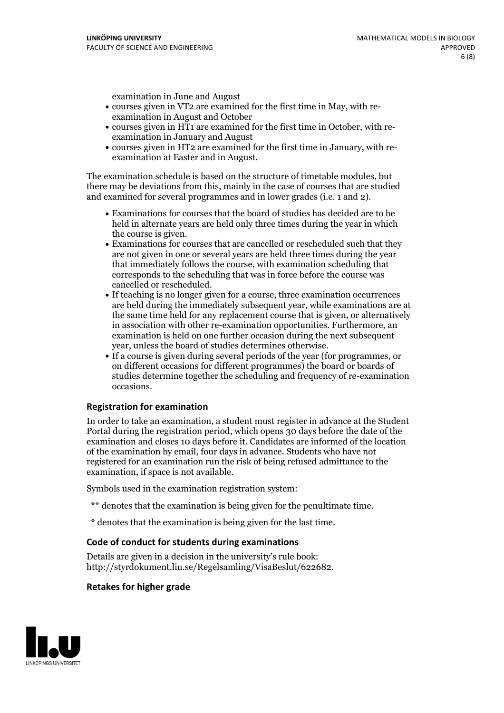examination in June and August

- courses given in VT2 are examined for the first time in May, with re-examination in August and October
- courses given in HT1 are examined for the first time in October, with re-examination in January and August
- courses given in HT2 are examined for the first time in January, with re-examination at Easter and in August.

The examination schedule is based on the structure of timetable modules, but there may be deviations from this, mainly in the case of courses that are studied and examined for several programmes and in lower grades (i.e. 1 and 2).

- Examinations for courses that the board of studies has decided are to be held in alternate years are held only three times during the year in which
- the course is given.<br>• Examinations for courses that are cancelled or rescheduled such that they are not given in one or several years are held three times during the year that immediately follows the course, with examination scheduling that corresponds to the scheduling that was in force before the course was cancelled or rescheduled.<br>• If teaching is no longer given for a course, three examination occurrences
- are held during the immediately subsequent year, while examinations are at the same time held for any replacement course that is given, or alternatively in association with other re-examination opportunities. Furthermore, an examination is held on one further occasion during the next subsequent year, unless the board of studies determines otherwise.<br>• If a course is given during several periods of the year (for programmes, or
- on different occasions for different programmes) the board orboards of studies determine together the scheduling and frequency of re-examination occasions.

#### **Registration for examination**

In order to take an examination, a student must register in advance at the Student Portal during the registration period, which opens 30 days before the date of the examination and closes 10 days before it. Candidates are informed of the location of the examination by email, four days in advance. Students who have not registered for an examination run the risk of being refused admittance to the examination, if space is not available.

Symbols used in the examination registration system:

- \*\* denotes that the examination is being given for the penultimate time.
- \* denotes that the examination is being given for the last time.

#### **Code of conduct for students during examinations**

Details are given in a decision in the university's rule book: http://styrdokument.liu.se/Regelsamling/VisaBeslut/622682.

#### **Retakes for higher grade**

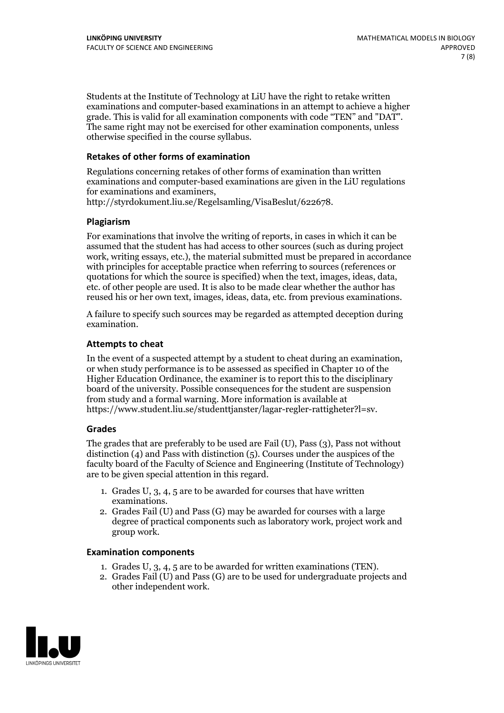Students at the Institute of Technology at LiU have the right to retake written examinations and computer-based examinations in an attempt to achieve a higher grade. This is valid for all examination components with code "TEN" and "DAT". The same right may not be exercised for other examination components, unless otherwise specified in the course syllabus.

### **Retakes of other forms of examination**

Regulations concerning retakes of other forms of examination than written examinations and computer-based examinations are given in the LiU regulations for examinations and examiners, http://styrdokument.liu.se/Regelsamling/VisaBeslut/622678.

#### **Plagiarism**

For examinations that involve the writing of reports, in cases in which it can be assumed that the student has had access to other sources (such as during project work, writing essays, etc.), the material submitted must be prepared in accordance with principles for acceptable practice when referring to sources (references or quotations for which the source is specified) when the text, images, ideas, data, etc. of other people are used. It is also to be made clear whether the author has reused his or her own text, images, ideas, data, etc. from previous examinations.

A failure to specify such sources may be regarded as attempted deception during examination.

#### **Attempts to cheat**

In the event of <sup>a</sup> suspected attempt by <sup>a</sup> student to cheat during an examination, or when study performance is to be assessed as specified in Chapter <sup>10</sup> of the Higher Education Ordinance, the examiner is to report this to the disciplinary board of the university. Possible consequences for the student are suspension from study and a formal warning. More information is available at https://www.student.liu.se/studenttjanster/lagar-regler-rattigheter?l=sv.

#### **Grades**

The grades that are preferably to be used are Fail (U), Pass (3), Pass not without distinction  $(4)$  and Pass with distinction  $(5)$ . Courses under the auspices of the faculty board of the Faculty of Science and Engineering (Institute of Technology) are to be given special attention in this regard.

- 1. Grades U, 3, 4, 5 are to be awarded for courses that have written
- examinations. 2. Grades Fail (U) and Pass (G) may be awarded for courses with <sup>a</sup> large degree of practical components such as laboratory work, project work and group work.

#### **Examination components**

- 
- 1. Grades U, 3, 4, <sup>5</sup> are to be awarded for written examinations (TEN). 2. Grades Fail (U) and Pass (G) are to be used for undergraduate projects and other independent work.